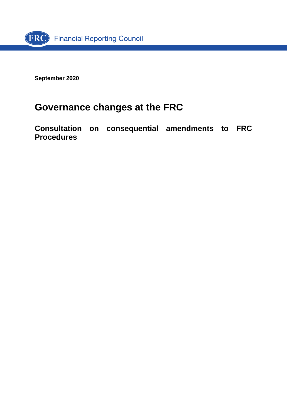

**September 2020**

# **Governance changes at the FRC**

**Consultation on consequential amendments to FRC Procedures**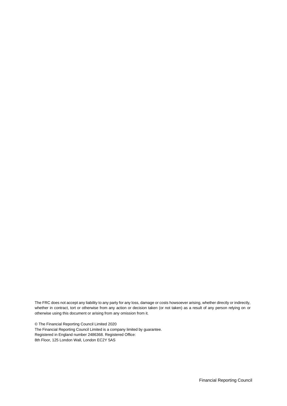The FRC does not accept any liability to any party for any loss, damage or costs howsoever arising, whether directly or indirectly, whether in contract, tort or otherwise from any action or decision taken (or not taken) as a result of any person relying on or otherwise using this document or arising from any omission from it.

© The Financial Reporting Council Limited 2020 The Financial Reporting Council Limited is a company limited by guarantee. Registered in England number 2486368. Registered Office: 8th Floor, 125 London Wall, London EC2Y 5AS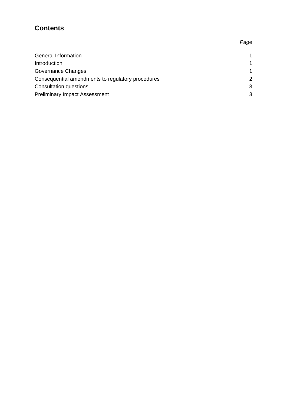# **Contents**

| General Information                               | 1 |
|---------------------------------------------------|---|
| Introduction                                      | 1 |
| Governance Changes                                | 1 |
| Consequential amendments to regulatory procedures | 2 |
| Consultation questions                            | 3 |
| <b>Preliminary Impact Assessment</b>              | 3 |
|                                                   |   |

#### *Page*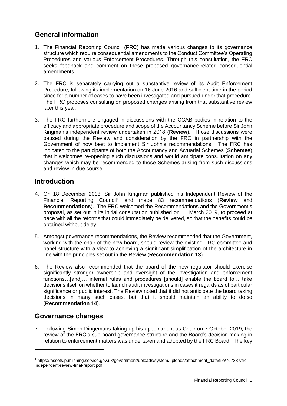## **General information**

- 1. The Financial Reporting Council (**FRC**) has made various changes to its governance structure which require consequential amendments to the Conduct Committee's Operating Procedures and various Enforcement Procedures. Through this consultation, the FRC seeks feedback and comment on these proposed governance-related consequential amendments.
- 2. The FRC is separately carrying out a substantive review of its Audit Enforcement Procedure, following its implementation on 16 June 2016 and sufficient time in the period since for a number of cases to have been investigated and pursued under that procedure. The FRC proposes consulting on proposed changes arising from that substantive review later this year.
- 3. The FRC furthermore engaged in discussions with the CCAB bodies in relation to the efficacy and appropriate procedure and scope of the Accountancy Scheme before Sir John Kingman's independent review undertaken in 2018 (**Review**). Those discussions were paused during the Review and consideration by the FRC in partnership with the Government of how best to implement Sir John's recommendations. The FRC has indicated to the participants of both the Accountancy and Actuarial Schemes (**Schemes**) that it welcomes re-opening such discussions and would anticipate consultation on any changes which may be recommended to those Schemes arising from such discussions and review in due course.

#### **Introduction**

- 4. On 18 December 2018, Sir John Kingman published his Independent Review of the Financial Reporting Council<sup>1</sup> and made 83 recommendations (Review and **Recommendations**). The FRC welcomed the Recommendations and the Government's proposal, as set out in its initial consultation published on 11 March 2019, to proceed at pace with all the reforms that could immediately be delivered, so that the benefits could be obtained without delay.
- 5. Amongst governance recommendations, the Review recommended that the Government, working with the chair of the new board, should review the existing FRC committee and panel structure with a view to achieving a significant simplification of the architecture in line with the principles set out in the Review (**Recommendation 13**).
- 6. The Review also recommended that the board of the new regulator should exercise significantly stronger ownership and oversight of the investigation and enforcement functions…[and]… internal rules and procedures [should] enable the board to… take decisions itself on whether to launch audit investigations in cases it regards as of particular significance or public interest. The Review noted that it did not anticipate the board taking decisions in many such cases, but that it should maintain an ability to do so (**Recommendation 14**).

## **Governance changes**

7. Following Simon Dingemans taking up his appointment as Chair on 7 October 2019, the review of the FRC's sub-board governance structure and the Board's decision making in relation to enforcement matters was undertaken and adopted by the FRC Board. The key

<sup>1</sup> https://assets.publishing.service.gov.uk/government/uploads/system/uploads/attachment\_data/file/767387/frcindependent-review-final-report.pdf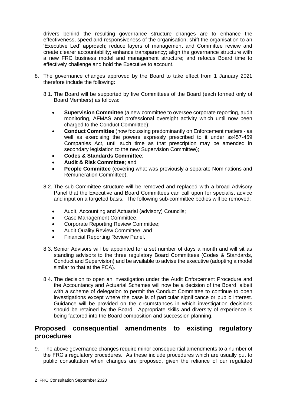drivers behind the resulting governance structure changes are to enhance the effectiveness, speed and responsiveness of the organisation; shift the organisation to an 'Executive Led' approach; reduce layers of management and Committee review and create clearer accountability; enhance transparency; align the governance structure with a new FRC business model and management structure; and refocus Board time to effectively challenge and hold the Executive to account.

- 8. The governance changes approved by the Board to take effect from 1 January 2021 therefore include the following:
	- 8.1. The Board will be supported by five Committees of the Board (each formed only of Board Members) as follows:
		- **Supervision Committee** (a new committee to oversee corporate reporting, audit monitoring, AFMAS and professional oversight activity which until now been charged to the Conduct Committee);
		- **Conduct Committee** (now focussing predominantly on Enforcement matters as well as exercising the powers expressly prescribed to it under ss457-459 Companies Act, until such time as that prescription may be amended in secondary legislation to the new Supervision Committee);
		- **Codes & Standards Committee**;
		- **Audit & Risk Committee**; and
		- **People Committee** (covering what was previously a separate Nominations and Remuneration Committee).
	- 8.2. The sub-Committee structure will be removed and replaced with a broad Advisory Panel that the Executive and Board Committees can call upon for specialist advice and input on a targeted basis. The following sub-committee bodies will be removed:
		- Audit, Accounting and Actuarial (advisory) Councils;
		- Case Management Committee;
		- Corporate Reporting Review Committee;
		- Audit Quality Review Committee; and
		- Financial Reporting Review Panel.
	- 8.3. Senior Advisors will be appointed for a set number of days a month and will sit as standing advisors to the three regulatory Board Committees (Codes & Standards, Conduct and Supervision) and be available to advise the executive (adopting a model similar to that at the FCA).
	- 8.4. The decision to open an investigation under the Audit Enforcement Procedure and the Accountancy and Actuarial Schemes will now be a decision of the Board, albeit with a scheme of delegation to permit the Conduct Committee to continue to open investigations except where the case is of particular significance or public interest. Guidance will be provided on the circumstances in which investigation decisions should be retained by the Board. Appropriate skills and diversity of experience is being factored into the Board composition and succession planning.

#### **Proposed consequential amendments to existing regulatory procedures**

9. The above governance changes require minor consequential amendments to a number of the FRC's regulatory procedures. As these include procedures which are usually put to public consultation when changes are proposed, given the reliance of our regulated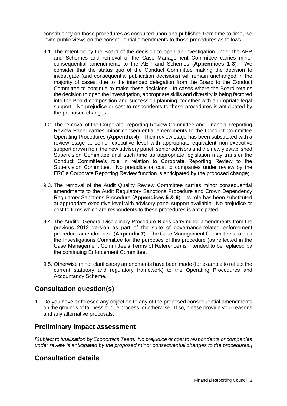constituency on those procedures as consulted upon and published from time to time, we invite public views on the consequential amendments to those procedures as follows:

- 9.1. The retention by the Board of the decision to open an investigation under the AEP and Schemes and removal of the Case Management Committee carries minor consequential amendments to the AEP and Schemes (**Appendices 1-3**). We consider that the status quo of the Conduct Committee making the decision to investigate (and consequential publication decisions) will remain unchanged in the majority of cases, due to the intended delegation from the Board to the Conduct Committee to continue to make these decisions. In cases where the Board retains the decision to open the investigation, appropriate skills and diversity is being factored into the Board composition and succession planning, together with appropriate legal support. No prejudice or cost to respondents to these procedures is anticipated by the proposed changes;
- 9.2. The removal of the Corporate Reporting Review Committee and Financial Reporting Review Panel carries minor consequential amendments to the Conduct Committee Operating Procedures (**Appendix 4**). Their review stage has been substituted with a review stage at senior executive level with appropriate equivalent non-executive support drawn from the new advisory panel, senior advisors and the newly established Supervision Committee until such time as appropriate legislation may transfer the Conduct Committee's role in relation to Corporate Reporting Review to the Supervision Committee. No prejudice or cost to companies under review by the FRC's Corporate Reporting Review function is anticipated by the proposed change;
- 9.3. The removal of the Audit Quality Review Committee carries minor consequential amendments to the Audit Regulatory Sanctions Procedure and Crown Dependency Regulatory Sanctions Procedure (**Appendices 5 & 6**). Its role has been substituted at appropriate executive level with advisory panel support available. No prejudice or cost to firms which are respondents to these procedures is anticipated.
- 9.4. The Auditor General Disciplinary Procedure Rules carry minor amendments from the previous 2012 version as part of the suite of governance-related enforcement procedure amendments. (**Appendix 7**). The Case Management Committee's role as the Investigations Committee for the purposes of this procedure (as reflected in the Case Management Committee's Terms of Reference) is intended to be replaced by the continuing Enforcement Committee.
- 9.5. Otherwise minor clarificatory amendments have been made (for example to reflect the current statutory and regulatory framework) to the Operating Procedures and Accountancy Scheme.

#### **Consultation question(s)**

1. Do you have or foresee any objection to any of the proposed consequential amendments on the grounds of fairness or due process, or otherwise. If so, please provide your reasons and any alternative proposals.

#### **Preliminary impact assessment**

*[Subject to finalisation by Economics Team. No prejudice or cost to respondents or companies under review is anticipated by the proposed minor consequential changes to the procedures.]*

#### **Consultation details**